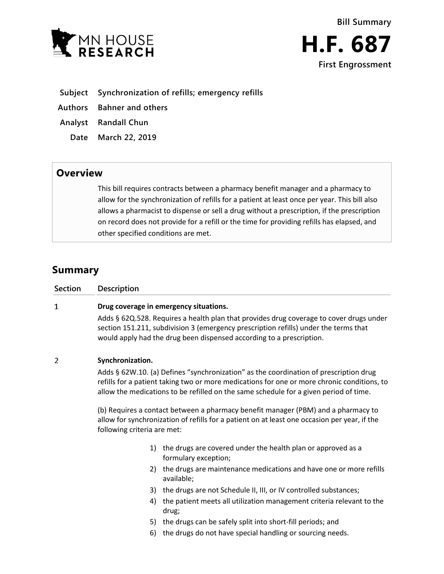



- **Subject Synchronization of refills; emergency refills**
- **Authors Bahner and others**
- **Analyst Randall Chun**
	- **Date March 22, 2019**

## **Overview**

This bill requires contracts between a pharmacy benefit manager and a pharmacy to allow for the synchronization of refills for a patient at least once per year. This bill also allows a pharmacist to dispense or sell a drug without a prescription, if the prescription on record does not provide for a refill or the time for providing refills has elapsed, and other specified conditions are met.

# **Summary**

| <b>Section</b> | Description                                                                                                                                                                                                                                                                   |                                                                                                                                                                                                                                                         |
|----------------|-------------------------------------------------------------------------------------------------------------------------------------------------------------------------------------------------------------------------------------------------------------------------------|---------------------------------------------------------------------------------------------------------------------------------------------------------------------------------------------------------------------------------------------------------|
| 1              | Drug coverage in emergency situations.                                                                                                                                                                                                                                        |                                                                                                                                                                                                                                                         |
|                |                                                                                                                                                                                                                                                                               | Adds § 62Q.528. Requires a health plan that provides drug coverage to cover drugs under<br>section 151.211, subdivision 3 (emergency prescription refills) under the terms that<br>would apply had the drug been dispensed according to a prescription. |
| 2              | Synchronization.                                                                                                                                                                                                                                                              |                                                                                                                                                                                                                                                         |
|                | Adds § 62W.10. (a) Defines "synchronization" as the coordination of prescription drug<br>refills for a patient taking two or more medications for one or more chronic conditions, to<br>allow the medications to be refilled on the same schedule for a given period of time. |                                                                                                                                                                                                                                                         |
|                | (b) Requires a contact between a pharmacy benefit manager (PBM) and a pharmacy to<br>allow for synchronization of refills for a patient on at least one occasion per year, if the<br>following criteria are met:                                                              |                                                                                                                                                                                                                                                         |
|                | 1)                                                                                                                                                                                                                                                                            | the drugs are covered under the health plan or approved as a<br>formulary exception;                                                                                                                                                                    |
|                | 2)                                                                                                                                                                                                                                                                            | the drugs are maintenance medications and have one or more refills<br>available;                                                                                                                                                                        |
|                | 3)                                                                                                                                                                                                                                                                            | the drugs are not Schedule II, III, or IV controlled substances;                                                                                                                                                                                        |
|                | 4)                                                                                                                                                                                                                                                                            | the patient meets all utilization management criteria relevant to the<br>drug;                                                                                                                                                                          |
|                | 5)                                                                                                                                                                                                                                                                            | the drugs can be safely split into short-fill periods; and                                                                                                                                                                                              |
|                | 6)                                                                                                                                                                                                                                                                            | the drugs do not have special handling or sourcing needs.                                                                                                                                                                                               |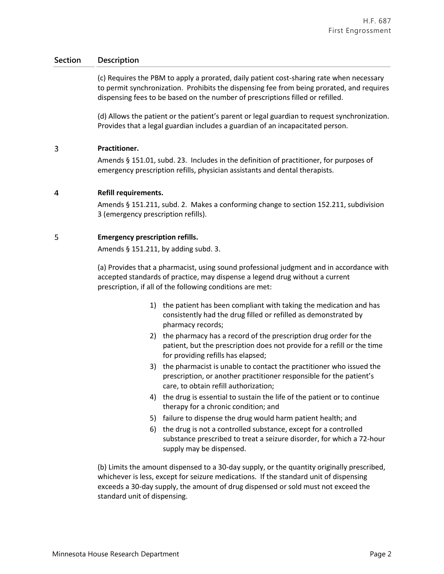### **Section Description**

(c) Requires the PBM to apply a prorated, daily patient cost-sharing rate when necessary to permit synchronization. Prohibits the dispensing fee from being prorated, and requires dispensing fees to be based on the number of prescriptions filled or refilled.

(d) Allows the patient or the patient's parent or legal guardian to request synchronization. Provides that a legal guardian includes a guardian of an incapacitated person.

#### 3 **Practitioner.**

Amends § 151.01, subd. 23. Includes in the definition of practitioner, for purposes of emergency prescription refills, physician assistants and dental therapists.

#### $\overline{4}$ **Refill requirements.**

Amends § 151.211, subd. 2. Makes a conforming change to section 152.211, subdivision 3 (emergency prescription refills).

#### 5 **Emergency prescription refills.**

Amends § 151.211, by adding subd. 3.

(a) Provides that a pharmacist, using sound professional judgment and in accordance with accepted standards of practice, may dispense a legend drug without a current prescription, if all of the following conditions are met:

- 1) the patient has been compliant with taking the medication and has consistently had the drug filled or refilled as demonstrated by pharmacy records;
- 2) the pharmacy has a record of the prescription drug order for the patient, but the prescription does not provide for a refill or the time for providing refills has elapsed;
- 3) the pharmacist is unable to contact the practitioner who issued the prescription, or another practitioner responsible for the patient's care, to obtain refill authorization;
- 4) the drug is essential to sustain the life of the patient or to continue therapy for a chronic condition; and
- 5) failure to dispense the drug would harm patient health; and
- 6) the drug is not a controlled substance, except for a controlled substance prescribed to treat a seizure disorder, for which a 72-hour supply may be dispensed.

(b) Limits the amount dispensed to a 30-day supply, or the quantity originally prescribed, whichever is less, except for seizure medications. If the standard unit of dispensing exceeds a 30-day supply, the amount of drug dispensed or sold must not exceed the standard unit of dispensing.